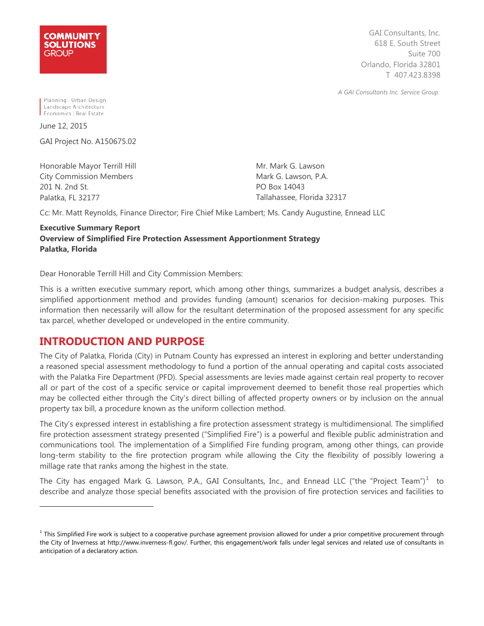

GAI Consultants, Inc. 618 E. South Street Suite 700 Orlando, Florida 32801 T 407.423.8398

*A GAI Consultants Inc. Service Group*

Planning | Urban Design Landscape Architecture Economics | Real Estate

June 12, 2015

-

GAI Project No. A150675.02

Honorable Mayor Terrill Hill City Commission Members 201 N. 2nd St. Palatka, FL 32177

Mr. Mark G. Lawson Mark G. Lawson, P.A. PO Box 14043 Tallahassee, Florida 32317

Cc: Mr. Matt Reynolds, Finance Director; Fire Chief Mike Lambert; Ms. Candy Augustine, Ennead LLC

#### **Executive Summary Report Overview of Simplified Fire Protection Assessment Apportionment Strategy Palatka, Florida**

Dear Honorable Terrill Hill and City Commission Members:

This is a written executive summary report, which among other things, summarizes a budget analysis, describes a simplified apportionment method and provides funding (amount) scenarios for decision-making purposes. This information then necessarily will allow for the resultant determination of the proposed assessment for any specific tax parcel, whether developed or undeveloped in the entire community.

### **INTRODUCTION AND PURPOSE**

The City of Palatka, Florida (City) in Putnam County has expressed an interest in exploring and better understanding a reasoned special assessment methodology to fund a portion of the annual operating and capital costs associated with the Palatka Fire Department (PFD). Special assessments are levies made against certain real property to recover all or part of the cost of a specific service or capital improvement deemed to benefit those real properties which may be collected either through the City's direct billing of affected property owners or by inclusion on the annual property tax bill, a procedure known as the uniform collection method.

The City's expressed interest in establishing a fire protection assessment strategy is multidimensional. The simplified fire protection assessment strategy presented ("Simplified Fire") is a powerful and flexible public administration and communications tool. The implementation of a Simplified Fire funding program, among other things, can provide long-term stability to the fire protection program while allowing the City the flexibility of possibly lowering a millage rate that ranks among the highest in the state.

<span id="page-0-1"></span>The City has engaged Mark G. Lawson, P.A., GAI Consultants, Inc., and Ennead LLC ("the "Project Team") $^1$  $^1$  to describe and analyze those special benefits associated with the provision of fire protection services and facilities to

<span id="page-0-0"></span> $<sup>1</sup>$  This Simplified Fire work is subject to a cooperative purchase agreement provision allowed for under a prior competitive procurement through</sup> the City of Inverness at http://www.inverness-fl.gov/. Further, this engagement/work falls under legal services and related use of consultants in anticipation of a declaratory action.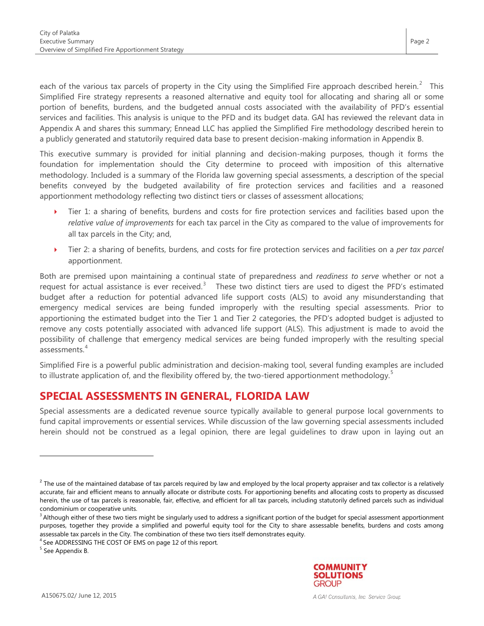each of the various tax parcels of property in the City using the Simplified Fire approach described herein.<sup>[2](#page-0-1)</sup> This Simplified Fire strategy represents a reasoned alternative and equity tool for allocating and sharing all or some portion of benefits, burdens, and the budgeted annual costs associated with the availability of PFD's essential services and facilities. This analysis is unique to the PFD and its budget data. GAI has reviewed the relevant data in Appendix A and shares this summary; Ennead LLC has applied the Simplified Fire methodology described herein to a publicly generated and statutorily required data base to present decision-making information in Appendix B.

This executive summary is provided for initial planning and decision-making purposes, though it forms the foundation for implementation should the City determine to proceed with imposition of this alternative methodology. Included is a summary of the Florida law governing special assessments, a description of the special benefits conveyed by the budgeted availability of fire protection services and facilities and a reasoned apportionment methodology reflecting two distinct tiers or classes of assessment allocations;

- Tier 1: a sharing of benefits, burdens and costs for fire protection services and facilities based upon the *relative value of improvements* for each tax parcel in the City as compared to the value of improvements for all tax parcels in the City; and,
- Tier 2: a sharing of benefits, burdens, and costs for fire protection services and facilities on a *per tax parcel* apportionment.

Both are premised upon maintaining a continual state of preparedness and *readiness to serve* whether or not a request for actual assistance is ever received.<sup>[3](#page-1-0)</sup> These two distinct tiers are used to digest the PFD's estimated budget after a reduction for potential advanced life support costs (ALS) to avoid any misunderstanding that emergency medical services are being funded improperly with the resulting special assessments. Prior to apportioning the estimated budget into the Tier 1 and Tier 2 categories, the PFD's adopted budget is adjusted to remove any costs potentially associated with advanced life support (ALS). This adjustment is made to avoid the possibility of challenge that emergency medical services are being funded improperly with the resulting special assessments.[4](#page-1-1)

Simplified Fire is a powerful public administration and decision-making tool, several funding examples are included to illustrate application of, and the flexibility offered by, the two-tiered apportionment methodology.<sup>[5](#page-1-2)</sup>

## **SPECIAL ASSESSMENTS IN GENERAL, FLORIDA LAW**

Special assessments are a dedicated revenue source typically available to general purpose local governments to fund capital improvements or essential services. While discussion of the law governing special assessments included herein should not be construed as a legal opinion, there are legal guidelines to draw upon in laying out an

<span id="page-1-2"></span><sup>5</sup> See Appendix B.

-



Page 2

 $2$  The use of the maintained database of tax parcels required by law and employed by the local property appraiser and tax collector is a relatively accurate, fair and efficient means to annually allocate or distribute costs. For apportioning benefits and allocating costs to property as discussed herein, the use of tax parcels is reasonable, fair, effective, and efficient for all tax parcels, including statutorily defined parcels such as individual condominium or cooperative units.

<span id="page-1-0"></span><sup>&</sup>lt;sup>3</sup> Although either of these two tiers might be singularly used to address a significant portion of the budget for special assessment apportionment purposes, together they provide a simplified and powerful equity tool for the City to share assessable benefits, burdens and costs among assessable tax parcels in the City. The combination of these two tiers itself demonstrates equity.

<span id="page-1-1"></span><sup>4</sup> See ADDRESSING THE COST OF EMS on page 12 of this report*.*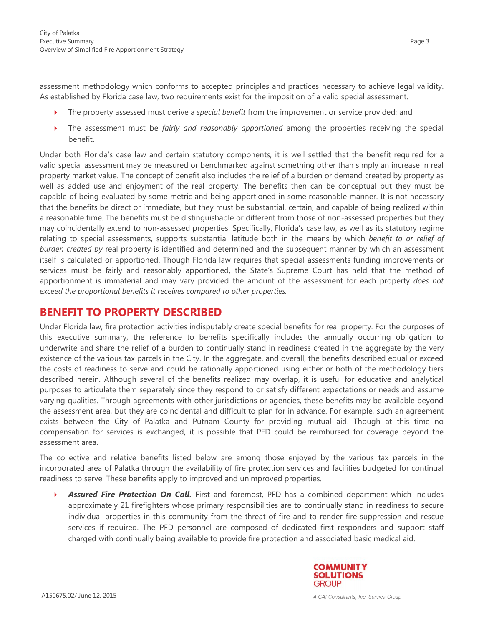assessment methodology which conforms to accepted principles and practices necessary to achieve legal validity. As established by Florida case law, two requirements exist for the imposition of a valid special assessment.

- The property assessed must derive a *special benefit* from the improvement or service provided; and
- The assessment must be *fairly and reasonably apportioned* among the properties receiving the special benefit.

Under both Florida's case law and certain statutory components, it is well settled that the benefit required for a valid special assessment may be measured or benchmarked against something other than simply an increase in real property market value. The concept of benefit also includes the relief of a burden or demand created by property as well as added use and enjoyment of the real property. The benefits then can be conceptual but they must be capable of being evaluated by some metric and being apportioned in some reasonable manner. It is not necessary that the benefits be direct or immediate, but they must be substantial, certain, and capable of being realized within a reasonable time. The benefits must be distinguishable or different from those of non-assessed properties but they may coincidentally extend to non-assessed properties. Specifically, Florida's case law, as well as its statutory regime relating to special assessments, supports substantial latitude both in the means by which *benefit to or relief of burden created by* real property is identified and determined and the subsequent manner by which an assessment itself is calculated or apportioned. Though Florida law requires that special assessments funding improvements or services must be fairly and reasonably apportioned, the State's Supreme Court has held that the method of apportionment is immaterial and may vary provided the amount of the assessment for each property *does not exceed the proportional benefits it receives compared to other properties.* 

### **BENEFIT TO PROPERTY DESCRIBED**

Under Florida law, fire protection activities indisputably create special benefits for real property. For the purposes of this executive summary, the reference to benefits specifically includes the annually occurring obligation to underwrite and share the relief of a burden to continually stand in readiness created in the aggregate by the very existence of the various tax parcels in the City. In the aggregate, and overall, the benefits described equal or exceed the costs of readiness to serve and could be rationally apportioned using either or both of the methodology tiers described herein. Although several of the benefits realized may overlap, it is useful for educative and analytical purposes to articulate them separately since they respond to or satisfy different expectations or needs and assume varying qualities. Through agreements with other jurisdictions or agencies, these benefits may be available beyond the assessment area, but they are coincidental and difficult to plan for in advance. For example, such an agreement exists between the City of Palatka and Putnam County for providing mutual aid. Though at this time no compensation for services is exchanged, it is possible that PFD could be reimbursed for coverage beyond the assessment area.

The collective and relative benefits listed below are among those enjoyed by the various tax parcels in the incorporated area of Palatka through the availability of fire protection services and facilities budgeted for continual readiness to serve. These benefits apply to improved and unimproved properties.

 *Assured Fire Protection On Call.* First and foremost, PFD has a combined department which includes approximately 21 firefighters whose primary responsibilities are to continually stand in readiness to secure individual properties in this community from the threat of fire and to render fire suppression and rescue services if required. The PFD personnel are composed of dedicated first responders and support staff charged with continually being available to provide fire protection and associated basic medical aid.

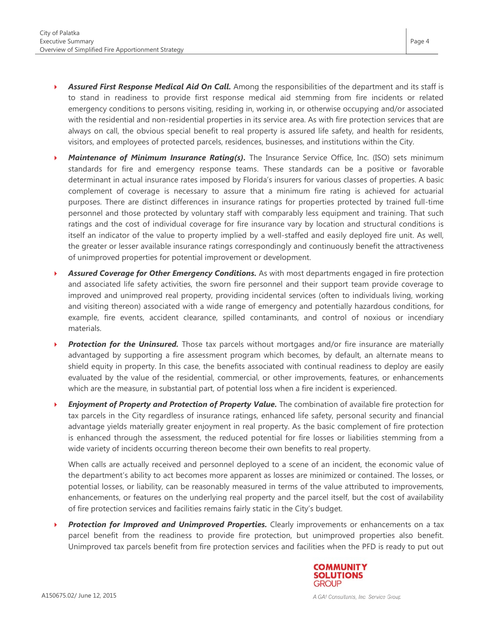- *Assured First Response Medical Aid On Call.* Among the responsibilities of the department and its staff is to stand in readiness to provide first response medical aid stemming from fire incidents or related emergency conditions to persons visiting, residing in, working in, or otherwise occupying and/or associated with the residential and non-residential properties in its service area. As with fire protection services that are always on call, the obvious special benefit to real property is assured life safety, and health for residents, visitors, and employees of protected parcels, residences, businesses, and institutions within the City.
- *Maintenance of Minimum Insurance Rating(s)*. The Insurance Service Office, Inc. (ISO) sets minimum standards for fire and emergency response teams. These standards can be a positive or favorable determinant in actual insurance rates imposed by Florida's insurers for various classes of properties. A basic complement of coverage is necessary to assure that a minimum fire rating is achieved for actuarial purposes. There are distinct differences in insurance ratings for properties protected by trained full-time personnel and those protected by voluntary staff with comparably less equipment and training. That such ratings and the cost of individual coverage for fire insurance vary by location and structural conditions is itself an indicator of the value to property implied by a well-staffed and easily deployed fire unit. As well, the greater or lesser available insurance ratings correspondingly and continuously benefit the attractiveness of unimproved properties for potential improvement or development.
- *Assured Coverage for Other Emergency Conditions.* As with most departments engaged in fire protection and associated life safety activities, the sworn fire personnel and their support team provide coverage to improved and unimproved real property, providing incidental services (often to individuals living, working and visiting thereon) associated with a wide range of emergency and potentially hazardous conditions, for example, fire events, accident clearance, spilled contaminants, and control of noxious or incendiary materials.
- **Protection for the Uninsured.** Those tax parcels without mortgages and/or fire insurance are materially advantaged by supporting a fire assessment program which becomes, by default, an alternate means to shield equity in property. In this case, the benefits associated with continual readiness to deploy are easily evaluated by the value of the residential, commercial, or other improvements, features, or enhancements which are the measure, in substantial part, of potential loss when a fire incident is experienced.
- *Enjoyment of Property and Protection of Property Value.* The combination of available fire protection for tax parcels in the City regardless of insurance ratings, enhanced life safety, personal security and financial advantage yields materially greater enjoyment in real property. As the basic complement of fire protection is enhanced through the assessment, the reduced potential for fire losses or liabilities stemming from a wide variety of incidents occurring thereon become their own benefits to real property.

When calls are actually received and personnel deployed to a scene of an incident, the economic value of the department's ability to act becomes more apparent as losses are minimized or contained. The losses, or potential losses, or liability, can be reasonably measured in terms of the value attributed to improvements, enhancements, or features on the underlying real property and the parcel itself, but the cost of availability of fire protection services and facilities remains fairly static in the City's budget.

**Protection for Improved and Unimproved Properties.** Clearly improvements or enhancements on a tax parcel benefit from the readiness to provide fire protection, but unimproved properties also benefit. Unimproved tax parcels benefit from fire protection services and facilities when the PFD is ready to put out



Page 4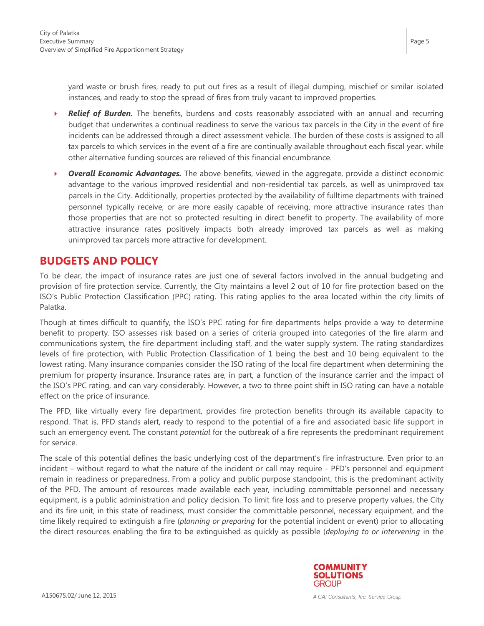yard waste or brush fires, ready to put out fires as a result of illegal dumping, mischief or similar isolated instances, and ready to stop the spread of fires from truly vacant to improved properties.

- **Relief of Burden.** The benefits, burdens and costs reasonably associated with an annual and recurring budget that underwrites a continual readiness to serve the various tax parcels in the City in the event of fire incidents can be addressed through a direct assessment vehicle. The burden of these costs is assigned to all tax parcels to which services in the event of a fire are continually available throughout each fiscal year, while other alternative funding sources are relieved of this financial encumbrance.
- **Overall Economic Advantages.** The above benefits, viewed in the aggregate, provide a distinct economic advantage to the various improved residential and non-residential tax parcels, as well as unimproved tax parcels in the City. Additionally, properties protected by the availability of fulltime departments with trained personnel typically receive, or are more easily capable of receiving, more attractive insurance rates than those properties that are not so protected resulting in direct benefit to property. The availability of more attractive insurance rates positively impacts both already improved tax parcels as well as making unimproved tax parcels more attractive for development.

### **BUDGETS AND POLICY**

To be clear, the impact of insurance rates are just one of several factors involved in the annual budgeting and provision of fire protection service. Currently, the City maintains a level 2 out of 10 for fire protection based on the ISO's Public Protection Classification (PPC) rating. This rating applies to the area located within the city limits of Palatka.

Though at times difficult to quantify, the ISO's PPC rating for fire departments helps provide a way to determine benefit to property. ISO assesses risk based on a series of criteria grouped into categories of the fire alarm and communications system, the fire department including staff, and the water supply system. The rating standardizes levels of fire protection, with Public Protection Classification of 1 being the best and 10 being equivalent to the lowest rating. Many insurance companies consider the ISO rating of the local fire department when determining the premium for property insurance. Insurance rates are, in part, a function of the insurance carrier and the impact of the ISO's PPC rating, and can vary considerably. However, a two to three point shift in ISO rating can have a notable effect on the price of insurance.

The PFD, like virtually every fire department, provides fire protection benefits through its available capacity to respond. That is, PFD stands alert, ready to respond to the potential of a fire and associated basic life support in such an emergency event. The constant *potential* for the outbreak of a fire represents the predominant requirement for service.

The scale of this potential defines the basic underlying cost of the department's fire infrastructure. Even prior to an incident – without regard to what the nature of the incident or call may require - PFD's personnel and equipment remain in readiness or preparedness. From a policy and public purpose standpoint, this is the predominant activity of the PFD. The amount of resources made available each year, including committable personnel and necessary equipment, is a public administration and policy decision. To limit fire loss and to preserve property values, the City and its fire unit, in this state of readiness, must consider the committable personnel, necessary equipment, and the time likely required to extinguish a fire (*planning or preparing* for the potential incident or event) prior to allocating the direct resources enabling the fire to be extinguished as quickly as possible (*deploying to or intervening* in the

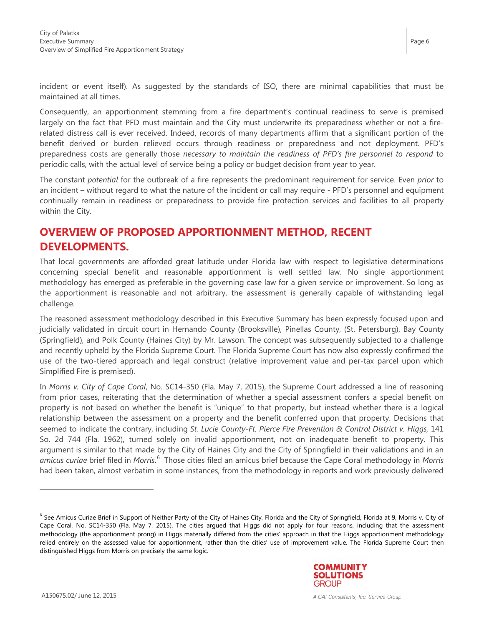incident or event itself). As suggested by the standards of ISO, there are minimal capabilities that must be maintained at all times.

Consequently, an apportionment stemming from a fire department's continual readiness to serve is premised largely on the fact that PFD must maintain and the City must underwrite its preparedness whether or not a firerelated distress call is ever received. Indeed, records of many departments affirm that a significant portion of the benefit derived or burden relieved occurs through readiness or preparedness and not deployment. PFD's preparedness costs are generally those *necessary to maintain the readiness of PFD's fire personnel to respond* to periodic calls, with the actual level of service being a policy or budget decision from year to year.

The constant *potential* for the outbreak of a fire represents the predominant requirement for service. Even *prior* to an incident – without regard to what the nature of the incident or call may require - PFD's personnel and equipment continually remain in readiness or preparedness to provide fire protection services and facilities to all property within the City.

## **OVERVIEW OF PROPOSED APPORTIONMENT METHOD, RECENT DEVELOPMENTS.**

That local governments are afforded great latitude under Florida law with respect to legislative determinations concerning special benefit and reasonable apportionment is well settled law. No single apportionment methodology has emerged as preferable in the governing case law for a given service or improvement. So long as the apportionment is reasonable and not arbitrary, the assessment is generally capable of withstanding legal challenge.

The reasoned assessment methodology described in this Executive Summary has been expressly focused upon and judicially validated in circuit court in Hernando County (Brooksville), Pinellas County, (St. Petersburg), Bay County (Springfield), and Polk County (Haines City) by Mr. Lawson. The concept was subsequently subjected to a challenge and recently upheld by the Florida Supreme Court. The Florida Supreme Court has now also expressly confirmed the use of the two-tiered approach and legal construct (relative improvement value and per-tax parcel upon which Simplified Fire is premised).

In *Morris v. City of Cape Coral*, No. SC14-350 (Fla. May 7, 2015), the Supreme Court addressed a line of reasoning from prior cases, reiterating that the determination of whether a special assessment confers a special benefit on property is not based on whether the benefit is "unique" to that property, but instead whether there is a logical relationship between the assessment on a property and the benefit conferred upon that property. Decisions that seemed to indicate the contrary, including *St. Lucie County-Ft. Pierce Fire Prevention & Control District v. Higgs,* 141 So. 2d 744 (Fla. 1962), turned solely on invalid apportionment, not on inadequate benefit to property. This argument is similar to that made by the City of Haines City and the City of Springfield in their validations and in an amicus curiae brief filed in *Morris*.<sup>[6](#page-1-0)</sup> Those cities filed an amicus brief because the Cape Coral methodology in *Morris* had been taken, almost verbatim in some instances, from the methodology in reports and work previously delivered

<sup>&</sup>lt;sup>6</sup> See Amicus Curiae Brief in Support of Neither Party of the City of Haines City, Florida and the City of Springfield, Florida at 9, Morris v. City of Cape Coral, No. SC14-350 (Fla. May 7, 2015). The cities argued that Higgs did not apply for four reasons, including that the assessment methodology (the apportionment prong) in Higgs materially differed from the cities' approach in that the Higgs apportionment methodology relied entirely on the assessed value for apportionment, rather than the cities' use of improvement value. The Florida Supreme Court then distinguished Higgs from Morris on precisely the same logic.



<span id="page-5-0"></span>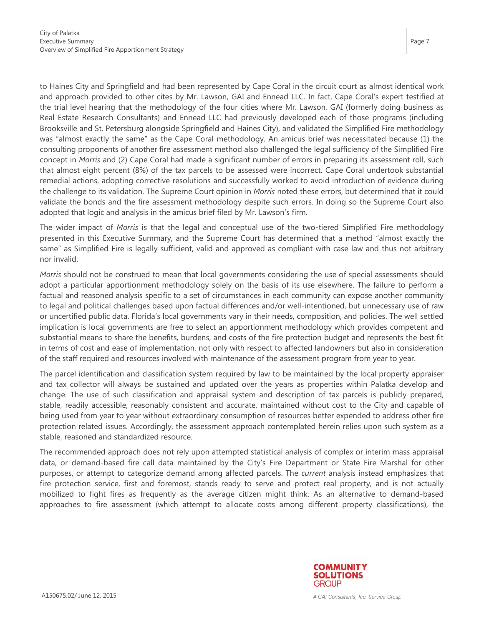to Haines City and Springfield and had been represented by Cape Coral in the circuit court as almost identical work and approach provided to other cites by Mr. Lawson, GAI and Ennead LLC. In fact, Cape Coral's expert testified at the trial level hearing that the methodology of the four cities where Mr. Lawson, GAI (formerly doing business as Real Estate Research Consultants) and Ennead LLC had previously developed each of those programs (including Brooksville and St. Petersburg alongside Springfield and Haines City), and validated the Simplified Fire methodology was "almost exactly the same" as the Cape Coral methodology. An amicus brief was necessitated because (1) the consulting proponents of another fire assessment method also challenged the legal sufficiency of the Simplified Fire concept in *Morris* and (2) Cape Coral had made a significant number of errors in preparing its assessment roll, such that almost eight percent (8%) of the tax parcels to be assessed were incorrect. Cape Coral undertook substantial remedial actions, adopting corrective resolutions and successfully worked to avoid introduction of evidence during the challenge to its validation. The Supreme Court opinion in *Morris* noted these errors, but determined that it could validate the bonds and the fire assessment methodology despite such errors. In doing so the Supreme Court also adopted that logic and analysis in the amicus brief filed by Mr. Lawson's firm.

The wider impact of *Morris* is that the legal and conceptual use of the two-tiered Simplified Fire methodology presented in this Executive Summary, and the Supreme Court has determined that a method "almost exactly the same" as Simplified Fire is legally sufficient, valid and approved as compliant with case law and thus not arbitrary nor invalid.

*Morris* should not be construed to mean that local governments considering the use of special assessments should adopt a particular apportionment methodology solely on the basis of its use elsewhere. The failure to perform a factual and reasoned analysis specific to a set of circumstances in each community can expose another community to legal and political challenges based upon factual differences and/or well-intentioned, but unnecessary use of raw or uncertified public data. Florida's local governments vary in their needs, composition, and policies. The well settled implication is local governments are free to select an apportionment methodology which provides competent and substantial means to share the benefits, burdens, and costs of the fire protection budget and represents the best fit in terms of cost and ease of implementation, not only with respect to affected landowners but also in consideration of the staff required and resources involved with maintenance of the assessment program from year to year.

The parcel identification and classification system required by law to be maintained by the local property appraiser and tax collector will always be sustained and updated over the years as properties within Palatka develop and change. The use of such classification and appraisal system and description of tax parcels is publicly prepared, stable, readily accessible, reasonably consistent and accurate, maintained without cost to the City and capable of being used from year to year without extraordinary consumption of resources better expended to address other fire protection related issues. Accordingly, the assessment approach contemplated herein relies upon such system as a stable, reasoned and standardized resource.

The recommended approach does not rely upon attempted statistical analysis of complex or interim mass appraisal data, or demand-based fire call data maintained by the City's Fire Department or State Fire Marshal for other purposes, or attempt to categorize demand among affected parcels. The *current* analysis instead emphasizes that fire protection service, first and foremost, stands ready to serve and protect real property, and is not actually mobilized to fight fires as frequently as the average citizen might think. As an alternative to demand-based approaches to fire assessment (which attempt to allocate costs among different property classifications), the

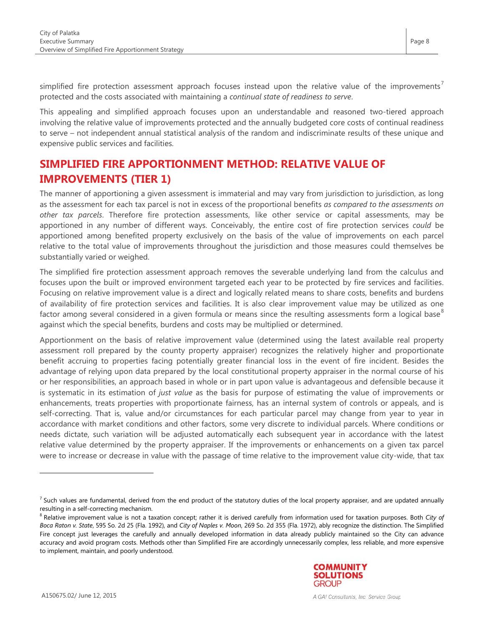simplified fire protection assessment approach focuses instead upon the relative value of the improvements<sup>[7](#page-5-0)</sup> protected and the costs associated with maintaining a *continual state of readiness to serve*.

This appealing and simplified approach focuses upon an understandable and reasoned two-tiered approach involving the relative value of improvements protected and the annually budgeted core costs of continual readiness to serve – not independent annual statistical analysis of the random and indiscriminate results of these unique and expensive public services and facilities.

## **SIMPLIFIED FIRE APPORTIONMENT METHOD: RELATIVE VALUE OF IMPROVEMENTS (TIER 1)**

The manner of apportioning a given assessment is immaterial and may vary from jurisdiction to jurisdiction, as long as the assessment for each tax parcel is not in excess of the proportional benefits *as compared to the assessments on other tax parcels*. Therefore fire protection assessments, like other service or capital assessments, may be apportioned in any number of different ways. Conceivably, the entire cost of fire protection services *could* be apportioned among benefited property exclusively on the basis of the value of improvements on each parcel relative to the total value of improvements throughout the jurisdiction and those measures could themselves be substantially varied or weighed.

The simplified fire protection assessment approach removes the severable underlying land from the calculus and focuses upon the built or improved environment targeted each year to be protected by fire services and facilities. Focusing on relative improvement value is a direct and logically related means to share costs, benefits and burdens of availability of fire protection services and facilities. It is also clear improvement value may be utilized as one factor among several considered in a given formula or means since the resulting assessments form a logical base $^8$  $^8$ against which the special benefits, burdens and costs may be multiplied or determined.

Apportionment on the basis of relative improvement value (determined using the latest available real property assessment roll prepared by the county property appraiser) recognizes the relatively higher and proportionate benefit accruing to properties facing potentially greater financial loss in the event of fire incident. Besides the advantage of relying upon data prepared by the local constitutional property appraiser in the normal course of his or her responsibilities, an approach based in whole or in part upon value is advantageous and defensible because it is systematic in its estimation of *just value* as the basis for purpose of estimating the value of improvements or enhancements, treats properties with proportionate fairness, has an internal system of controls or appeals, and is self-correcting. That is, value and/or circumstances for each particular parcel may change from year to year in accordance with market conditions and other factors, some very discrete to individual parcels. Where conditions or needs dictate, such variation will be adjusted automatically each subsequent year in accordance with the latest relative value determined by the property appraiser. If the improvements or enhancements on a given tax parcel were to increase or decrease in value with the passage of time relative to the improvement value city-wide, that tax

<span id="page-7-1"></span><span id="page-7-0"></span>resulting in a self-correcting mechanism.<br><sup>8</sup> Relative improvement value is not a taxation concept; rather it is derived carefully from information used for taxation purposes. Both *City of Boca Raton v. State*, 595 So. 2d 25 (Fla. 1992), and *City of Naples v. Moon*, 269 So. 2d 355 (Fla. 1972), ably recognize the distinction. The Simplified Fire concept just leverages the carefully and annually developed information in data already publicly maintained so the City can advance accuracy and avoid program costs. Methods other than Simplified Fire are accordingly unnecessarily complex, less reliable, and more expensive to implement, maintain, and poorly understood.



-

 $<sup>7</sup>$  Such values are fundamental, derived from the end product of the statutory duties of the local property appraiser, and are updated annually</sup>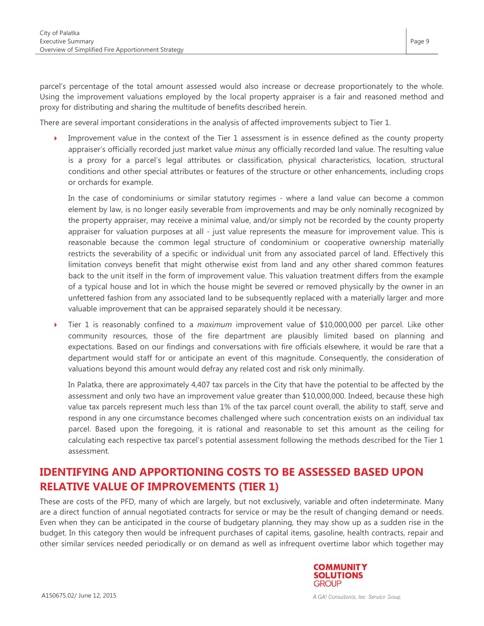parcel's percentage of the total amount assessed would also increase or decrease proportionately to the whole. Using the improvement valuations employed by the local property appraiser is a fair and reasoned method and proxy for distributing and sharing the multitude of benefits described herein.

There are several important considerations in the analysis of affected improvements subject to Tier 1.

 Improvement value in the context of the Tier 1 assessment is in essence defined as the county property appraiser's officially recorded just market value *minus* any officially recorded land value. The resulting value is a proxy for a parcel's legal attributes or classification, physical characteristics, location, structural conditions and other special attributes or features of the structure or other enhancements, including crops or orchards for example.

In the case of condominiums or similar statutory regimes - where a land value can become a common element by law, is no longer easily severable from improvements and may be only nominally recognized by the property appraiser, may receive a minimal value, and/or simply not be recorded by the county property appraiser for valuation purposes at all - just value represents the measure for improvement value. This is reasonable because the common legal structure of condominium or cooperative ownership materially restricts the severability of a specific or individual unit from any associated parcel of land. Effectively this limitation conveys benefit that might otherwise exist from land and any other shared common features back to the unit itself in the form of improvement value. This valuation treatment differs from the example of a typical house and lot in which the house might be severed or removed physically by the owner in an unfettered fashion from any associated land to be subsequently replaced with a materially larger and more valuable improvement that can be appraised separately should it be necessary.

 Tier 1 is reasonably confined to a *maximum* improvement value of \$10,000,000 per parcel. Like other community resources, those of the fire department are plausibly limited based on planning and expectations. Based on our findings and conversations with fire officials elsewhere, it would be rare that a department would staff for or anticipate an event of this magnitude. Consequently, the consideration of valuations beyond this amount would defray any related cost and risk only minimally.

In Palatka, there are approximately 4,407 tax parcels in the City that have the potential to be affected by the assessment and only two have an improvement value greater than \$10,000,000. Indeed, because these high value tax parcels represent much less than 1% of the tax parcel count overall, the ability to staff, serve and respond in any one circumstance becomes challenged where such concentration exists on an individual tax parcel. Based upon the foregoing, it is rational and reasonable to set this amount as the ceiling for calculating each respective tax parcel's potential assessment following the methods described for the Tier 1 assessment.

## **IDENTIFYING AND APPORTIONING COSTS TO BE ASSESSED BASED UPON RELATIVE VALUE OF IMPROVEMENTS (TIER 1)**

These are costs of the PFD, many of which are largely, but not exclusively, variable and often indeterminate. Many are a direct function of annual negotiated contracts for service or may be the result of changing demand or needs. Even when they can be anticipated in the course of budgetary planning, they may show up as a sudden rise in the budget. In this category then would be infrequent purchases of capital items, gasoline, health contracts, repair and other similar services needed periodically or on demand as well as infrequent overtime labor which together may



Page 9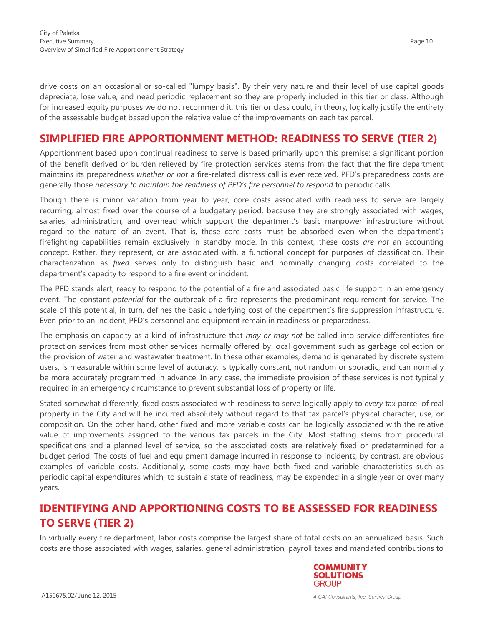drive costs on an occasional or so-called "lumpy basis". By their very nature and their level of use capital goods depreciate, lose value, and need periodic replacement so they are properly included in this tier or class. Although for increased equity purposes we do not recommend it, this tier or class could, in theory, logically justify the entirety of the assessable budget based upon the relative value of the improvements on each tax parcel.

## **SIMPLIFIED FIRE APPORTIONMENT METHOD: READINESS TO SERVE (TIER 2)**

Apportionment based upon continual readiness to serve is based primarily upon this premise: a significant portion of the benefit derived or burden relieved by fire protection services stems from the fact that the fire department maintains its preparedness *whether or not* a fire-related distress call is ever received. PFD's preparedness costs are generally those *necessary to maintain the readiness of PFD's fire personnel to respond* to periodic calls.

Though there is minor variation from year to year, core costs associated with readiness to serve are largely recurring, almost fixed over the course of a budgetary period, because they are strongly associated with wages, salaries, administration, and overhead which support the department's basic manpower infrastructure without regard to the nature of an event. That is, these core costs must be absorbed even when the department's firefighting capabilities remain exclusively in standby mode. In this context, these costs *are not* an accounting concept. Rather, they represent, or are associated with, a functional concept for purposes of classification. Their characterization as *fixed* serves only to distinguish basic and nominally changing costs correlated to the department's capacity to respond to a fire event or incident.

The PFD stands alert, ready to respond to the potential of a fire and associated basic life support in an emergency event. The constant *potential* for the outbreak of a fire represents the predominant requirement for service. The scale of this potential, in turn, defines the basic underlying cost of the department's fire suppression infrastructure. Even prior to an incident, PFD's personnel and equipment remain in readiness or preparedness.

The emphasis on capacity as a kind of infrastructure that *may or may not* be called into service differentiates fire protection services from most other services normally offered by local government such as garbage collection or the provision of water and wastewater treatment. In these other examples, demand is generated by discrete system users, is measurable within some level of accuracy, is typically constant, not random or sporadic, and can normally be more accurately programmed in advance. In any case, the immediate provision of these services is not typically required in an emergency circumstance to prevent substantial loss of property or life.

Stated somewhat differently, fixed costs associated with readiness to serve logically apply to *every* tax parcel of real property in the City and will be incurred absolutely without regard to that tax parcel's physical character, use, or composition. On the other hand, other fixed and more variable costs can be logically associated with the relative value of improvements assigned to the various tax parcels in the City. Most staffing stems from procedural specifications and a planned level of service, so the associated costs are relatively fixed or predetermined for a budget period. The costs of fuel and equipment damage incurred in response to incidents, by contrast, are obvious examples of variable costs. Additionally, some costs may have both fixed and variable characteristics such as periodic capital expenditures which, to sustain a state of readiness, may be expended in a single year or over many years.

## **IDENTIFYING AND APPORTIONING COSTS TO BE ASSESSED FOR READINESS TO SERVE (TIER 2)**

In virtually every fire department, labor costs comprise the largest share of total costs on an annualized basis. Such costs are those associated with wages, salaries, general administration, payroll taxes and mandated contributions to

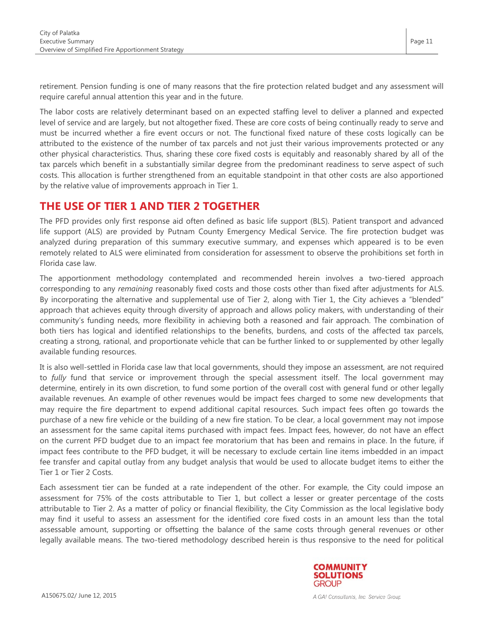retirement. Pension funding is one of many reasons that the fire protection related budget and any assessment will require careful annual attention this year and in the future.

The labor costs are relatively determinant based on an expected staffing level to deliver a planned and expected level of service and are largely, but not altogether fixed. These are core costs of being continually ready to serve and must be incurred whether a fire event occurs or not. The functional fixed nature of these costs logically can be attributed to the existence of the number of tax parcels and not just their various improvements protected or any other physical characteristics. Thus, sharing these core fixed costs is equitably and reasonably shared by all of the tax parcels which benefit in a substantially similar degree from the predominant readiness to serve aspect of such costs. This allocation is further strengthened from an equitable standpoint in that other costs are also apportioned by the relative value of improvements approach in Tier 1.

#### **THE USE OF TIER 1 AND TIER 2 TOGETHER**

The PFD provides only first response aid often defined as basic life support (BLS). Patient transport and advanced life support (ALS) are provided by Putnam County Emergency Medical Service. The fire protection budget was analyzed during preparation of this summary executive summary, and expenses which appeared is to be even remotely related to ALS were eliminated from consideration for assessment to observe the prohibitions set forth in Florida case law.

The apportionment methodology contemplated and recommended herein involves a two-tiered approach corresponding to any *remaining* reasonably fixed costs and those costs other than fixed after adjustments for ALS. By incorporating the alternative and supplemental use of Tier 2, along with Tier 1, the City achieves a "blended" approach that achieves equity through diversity of approach and allows policy makers, with understanding of their community's funding needs, more flexibility in achieving both a reasoned and fair approach. The combination of both tiers has logical and identified relationships to the benefits, burdens, and costs of the affected tax parcels, creating a strong, rational, and proportionate vehicle that can be further linked to or supplemented by other legally available funding resources.

It is also well-settled in Florida case law that local governments, should they impose an assessment, are not required to *fully* fund that service or improvement through the special assessment itself. The local government may determine, entirely in its own discretion, to fund some portion of the overall cost with general fund or other legally available revenues. An example of other revenues would be impact fees charged to some new developments that may require the fire department to expend additional capital resources. Such impact fees often go towards the purchase of a new fire vehicle or the building of a new fire station. To be clear, a local government may not impose an assessment for the same capital items purchased with impact fees. Impact fees, however, do not have an effect on the current PFD budget due to an impact fee moratorium that has been and remains in place. In the future, if impact fees contribute to the PFD budget, it will be necessary to exclude certain line items imbedded in an impact fee transfer and capital outlay from any budget analysis that would be used to allocate budget items to either the Tier 1 or Tier 2 Costs.

Each assessment tier can be funded at a rate independent of the other. For example, the City could impose an assessment for 75% of the costs attributable to Tier 1, but collect a lesser or greater percentage of the costs attributable to Tier 2. As a matter of policy or financial flexibility, the City Commission as the local legislative body may find it useful to assess an assessment for the identified core fixed costs in an amount less than the total assessable amount, supporting or offsetting the balance of the same costs through general revenues or other legally available means. The two-tiered methodology described herein is thus responsive to the need for political

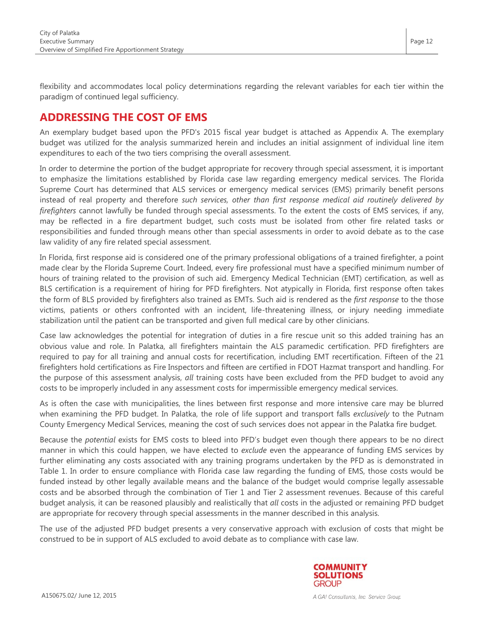flexibility and accommodates local policy determinations regarding the relevant variables for each tier within the paradigm of continued legal sufficiency.

### **ADDRESSING THE COST OF EMS**

An exemplary budget based upon the PFD's 2015 fiscal year budget is attached as Appendix A. The exemplary budget was utilized for the analysis summarized herein and includes an initial assignment of individual line item expenditures to each of the two tiers comprising the overall assessment.

In order to determine the portion of the budget appropriate for recovery through special assessment, it is important to emphasize the limitations established by Florida case law regarding emergency medical services. The Florida Supreme Court has determined that ALS services or emergency medical services (EMS) primarily benefit persons instead of real property and therefore *such services, other than first response medical aid routinely delivered by firefighters* cannot lawfully be funded through special assessments. To the extent the costs of EMS services, if any, may be reflected in a fire department budget, such costs must be isolated from other fire related tasks or responsibilities and funded through means other than special assessments in order to avoid debate as to the case law validity of any fire related special assessment.

In Florida, first response aid is considered one of the primary professional obligations of a trained firefighter, a point made clear by the Florida Supreme Court. Indeed, every fire professional must have a specified minimum number of hours of training related to the provision of such aid. Emergency Medical Technician (EMT) certification, as well as BLS certification is a requirement of hiring for PFD firefighters. Not atypically in Florida, first response often takes the form of BLS provided by firefighters also trained as EMTs. Such aid is rendered as the *first response* to the those victims, patients or others confronted with an incident, life-threatening illness, or injury needing immediate stabilization until the patient can be transported and given full medical care by other clinicians.

Case law acknowledges the potential for integration of duties in a fire rescue unit so this added training has an obvious value and role. In Palatka, all firefighters maintain the ALS paramedic certification. PFD firefighters are required to pay for all training and annual costs for recertification, including EMT recertification. Fifteen of the 21 firefighters hold certifications as Fire Inspectors and fifteen are certified in FDOT Hazmat transport and handling. For the purpose of this assessment analysis, *all* training costs have been excluded from the PFD budget to avoid any costs to be improperly included in any assessment costs for impermissible emergency medical services.

As is often the case with municipalities, the lines between first response and more intensive care may be blurred when examining the PFD budget. In Palatka, the role of life support and transport falls *exclusively* to the Putnam County Emergency Medical Services, meaning the cost of such services does not appear in the Palatka fire budget.

Because the *potential* exists for EMS costs to bleed into PFD's budget even though there appears to be no direct manner in which this could happen, we have elected to *exclude* even the appearance of funding EMS services by further eliminating any costs associated with any training programs undertaken by the PFD as is demonstrated in Table 1. In order to ensure compliance with Florida case law regarding the funding of EMS, those costs would be funded instead by other legally available means and the balance of the budget would comprise legally assessable costs and be absorbed through the combination of Tier 1 and Tier 2 assessment revenues. Because of this careful budget analysis, it can be reasoned plausibly and realistically that *all* costs in the adjusted or remaining PFD budget are appropriate for recovery through special assessments in the manner described in this analysis.

The use of the adjusted PFD budget presents a very conservative approach with exclusion of costs that might be construed to be in support of ALS excluded to avoid debate as to compliance with case law.

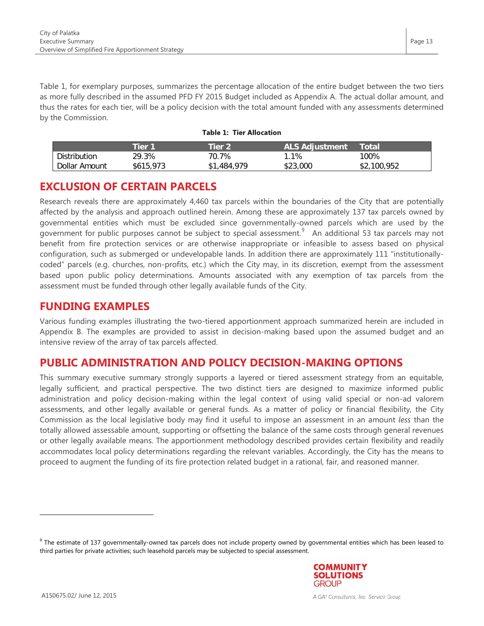Table 1, for exemplary purposes, summarizes the percentage allocation of the entire budget between the two tiers as more fully described in the assumed PFD FY 2015 Budget included as Appendix A. The actual dollar amount, and thus the rates for each tier, will be a policy decision with the total amount funded with any assessments determined by the Commission.

|  |  | <b>Table 1: Tier Allocation</b> |
|--|--|---------------------------------|
|--|--|---------------------------------|

|               | 「ier 1    | Tier 2      | <b>ALS Adjustment</b> | Total               |
|---------------|-----------|-------------|-----------------------|---------------------|
| Distribution  | 29.3%     | 70.7%       | .1%                   | 100%                |
| Dollar Amount | \$615,973 | 979<br>484. | .000<br>よつつ<br>১∠১    | .100<br>.952<br>JZ. |

#### **EXCLUSION OF CERTAIN PARCELS**

Research reveals there are approximately 4,460 tax parcels within the boundaries of the City that are potentially affected by the analysis and approach outlined herein. Among these are approximately 137 tax parcels owned by governmental entities which must be excluded since governmentally-owned parcels which are used by the government for public purposes cannot be subject to special assessment.<sup>[9](#page-7-1)</sup> An additional 53 tax parcels may not benefit from fire protection services or are otherwise inappropriate or infeasible to assess based on physical configuration, such as submerged or undevelopable lands. In addition there are approximately 111 "institutionallycoded" parcels (e.g. churches, non-profits, etc.) which the City may, in its discretion, exempt from the assessment based upon public policy determinations. Amounts associated with any exemption of tax parcels from the assessment must be funded through other legally available funds of the City.

#### **FUNDING EXAMPLES**

Various funding examples illustrating the two-tiered apportionment approach summarized herein are included in Appendix B. The examples are provided to assist in decision-making based upon the assumed budget and an intensive review of the array of tax parcels affected.

#### **PUBLIC ADMINISTRATION AND POLICY DECISION-MAKING OPTIONS**

This summary executive summary strongly supports a layered or tiered assessment strategy from an equitable, legally sufficient, and practical perspective. The two distinct tiers are designed to maximize informed public administration and policy decision-making within the legal context of using valid special or non-ad valorem assessments, and other legally available or general funds. As a matter of policy or financial flexibility, the City Commission as the local legislative body may find it useful to impose an assessment in an amount *less* than the totally allowed assessable amount, supporting or offsetting the balance of the same costs through general revenues or other legally available means. The apportionment methodology described provides certain flexibility and readily accommodates local policy determinations regarding the relevant variables. Accordingly, the City has the means to proceed to augment the funding of its fire protection related budget in a rational, fair, and reasoned manner.

<span id="page-12-0"></span><sup>&</sup>lt;sup>9</sup> The estimate of 137 governmentally-owned tax parcels does not include property owned by governmental entities which has been leased to third parties for private activities; such leasehold parcels may be subjected to special assessment.

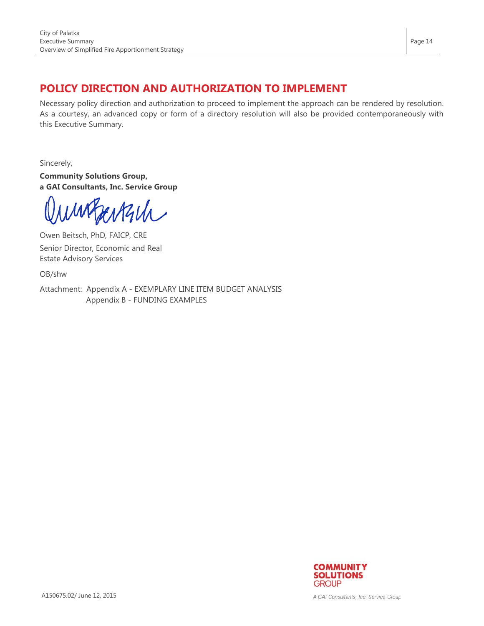## **POLICY DIRECTION AND AUTHORIZATION TO IMPLEMENT**

Necessary policy direction and authorization to proceed to implement the approach can be rendered by resolution. As a courtesy, an advanced copy or form of a directory resolution will also be provided contemporaneously with this Executive Summary.

Sincerely,

**Community Solutions Group, a GAI Consultants, Inc. Service Group**

ungerkul

Owen Beitsch, PhD, FAICP, CRE Senior Director, Economic and Real Estate Advisory Services

OB/shw

Attachment: Appendix A - EXEMPLARY LINE ITEM BUDGET ANALYSIS Appendix B - FUNDING EXAMPLES



A GAI Consultants, Inc. Service Group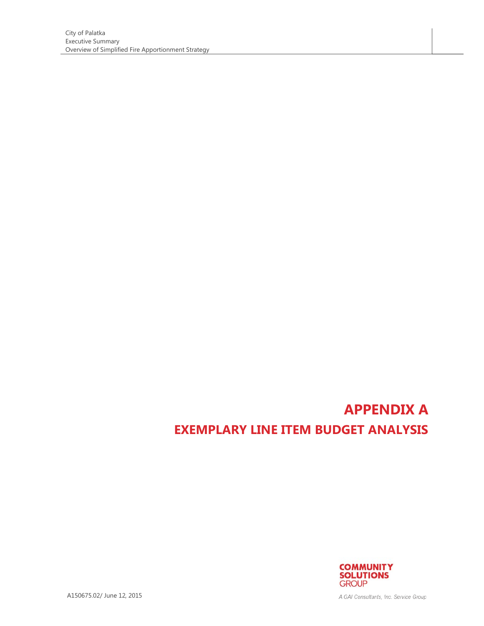# **APPENDIX A EXEMPLARY LINE ITEM BUDGET ANALYSIS**



A150675.02/ June 12, 2015

A GAI Consultants, Inc. Service Group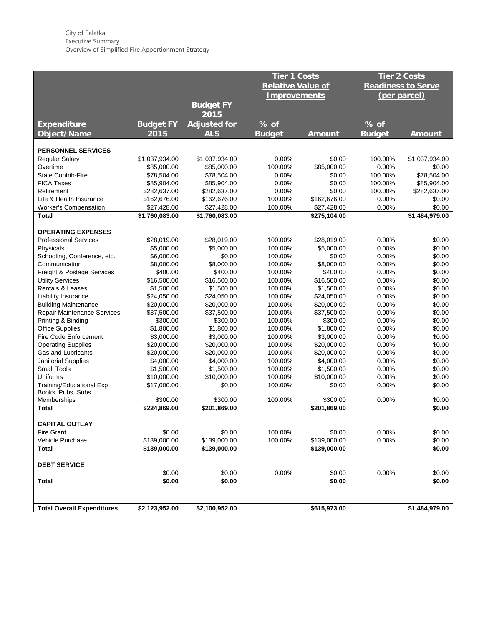|                                    |                  |                     | Tier 1 Costs             |               |               | <b>Tier 2 Costs</b>       |
|------------------------------------|------------------|---------------------|--------------------------|---------------|---------------|---------------------------|
|                                    |                  |                     | <b>Relative Value of</b> |               |               | <b>Readiness to Serve</b> |
|                                    |                  |                     |                          |               |               |                           |
|                                    |                  |                     | <b>Improvements</b>      |               |               | (per parcel)              |
|                                    |                  | <b>Budget FY</b>    |                          |               |               |                           |
|                                    |                  | 2015                |                          |               |               |                           |
| <b>Expenditure</b>                 | <b>Budget FY</b> | <b>Adjusted for</b> | $%$ of                   |               | % of          |                           |
| <b>Object/Name</b>                 | 2015             | <b>ALS</b>          | <b>Budget</b>            | <b>Amount</b> | <b>Budget</b> | <b>Amount</b>             |
|                                    |                  |                     |                          |               |               |                           |
| <b>PERSONNEL SERVICES</b>          |                  |                     |                          |               |               |                           |
| <b>Regular Salary</b>              | \$1,037,934.00   | \$1,037,934.00      | 0.00%                    | \$0.00        | 100.00%       | \$1,037,934.00            |
| Overtime                           | \$85,000.00      | \$85,000.00         | 100.00%                  | \$85,000.00   | 0.00%         | \$0.00                    |
| <b>State Contrib-Fire</b>          | \$78,504.00      | \$78,504.00         | 0.00%                    | \$0.00        | 100.00%       | \$78,504.00               |
| <b>FICA Taxes</b>                  | \$85,904.00      | \$85,904.00         | 0.00%                    | \$0.00        | 100.00%       | \$85,904.00               |
| Retirement                         | \$282,637.00     | \$282,637.00        | 0.00%                    | \$0.00        | 100.00%       | \$282,637.00              |
| Life & Health Insurance            | \$162,676.00     | \$162,676.00        | 100.00%                  | \$162,676.00  | 0.00%         | \$0.00                    |
| <b>Worker's Compensation</b>       | \$27,428.00      | \$27,428.00         | 100.00%                  | \$27,428.00   | 0.00%         | \$0.00                    |
| Total                              | \$1,760,083.00   | \$1,760,083.00      |                          | \$275,104.00  |               | \$1,484,979.00            |
| <b>OPERATING EXPENSES</b>          |                  |                     |                          |               |               |                           |
| <b>Professional Services</b>       | \$28,019.00      | \$28,019.00         | 100.00%                  | \$28,019.00   | 0.00%         | \$0.00                    |
| Physicals                          | \$5,000.00       | \$5,000.00          | 100.00%                  | \$5,000.00    | 0.00%         | \$0.00                    |
| Schooling, Conference, etc.        | \$6,000.00       | \$0.00              | 100.00%                  | \$0.00        | 0.00%         | \$0.00                    |
| Communication                      | \$8,000.00       | \$8,000.00          | 100.00%                  | \$8,000.00    | 0.00%         | \$0.00                    |
| Freight & Postage Services         | \$400.00         | \$400.00            | 100.00%                  | \$400.00      | 0.00%         | \$0.00                    |
| <b>Utility Services</b>            | \$16,500.00      | \$16,500.00         | 100.00%                  | \$16,500.00   | 0.00%         | \$0.00                    |
| Rentals & Leases                   | \$1,500.00       | \$1,500.00          | 100.00%                  | \$1,500.00    | 0.00%         | \$0.00                    |
| Liability Insurance                | \$24,050.00      | \$24,050.00         | 100.00%                  | \$24,050.00   | 0.00%         | \$0.00                    |
| <b>Building Maintenance</b>        | \$20,000.00      | \$20,000.00         | 100.00%                  | \$20,000.00   | 0.00%         | \$0.00                    |
| <b>Repair Maintenance Services</b> | \$37,500.00      | \$37,500.00         | 100.00%                  | \$37,500.00   | 0.00%         | \$0.00                    |
| Printing & Binding                 | \$300.00         | \$300.00            | 100.00%                  | \$300.00      | 0.00%         | \$0.00                    |
| <b>Office Supplies</b>             | \$1,800.00       | \$1,800.00          | 100.00%                  | \$1,800.00    | 0.00%         | \$0.00                    |
| Fire Code Enforcement              | \$3,000.00       | \$3,000.00          | 100.00%                  | \$3,000.00    | 0.00%         | \$0.00                    |
| <b>Operating Supplies</b>          | \$20,000.00      | \$20,000.00         | 100.00%                  | \$20,000.00   | 0.00%         | \$0.00                    |
| <b>Gas and Lubricants</b>          | \$20,000.00      | \$20,000.00         | 100.00%                  | \$20,000.00   | 0.00%         | \$0.00                    |
| Janitorial Supplies                | \$4,000.00       | \$4,000.00          | 100.00%                  | \$4,000.00    | 0.00%         | \$0.00                    |
| <b>Small Tools</b>                 | \$1,500.00       | \$1,500.00          | 100.00%                  | \$1,500.00    | 0.00%         | \$0.00                    |
| Uniforms                           | \$10,000.00      | \$10,000.00         | 100.00%                  | \$10,000.00   | 0.00%         | \$0.00                    |
| Training/Educational Exp           | \$17,000.00      | \$0.00              | 100.00%                  | \$0.00        | 0.00%         | \$0.00                    |
| Books, Pubs, Subs,                 |                  |                     |                          |               |               |                           |
| Memberships                        | \$300.00         | \$300.00            | 100.00%                  | \$300.00      | 0.00%         | \$0.00                    |
| Total                              | \$224,869.00     | \$201,869.00        |                          | \$201,869.00  |               | \$0.00                    |
|                                    |                  |                     |                          |               |               |                           |
| <b>CAPITAL OUTLAY</b>              |                  |                     |                          |               |               |                           |
| Fire Grant                         | \$0.00           | \$0.00              | 100.00%                  | \$0.00        | 0.00%         | \$0.00                    |
| Vehicle Purchase                   | \$139,000.00     | \$139,000.00        | 100.00%                  | \$139,000.00  | 0.00%         | \$0.00                    |
| <b>Total</b>                       | \$139,000.00     | \$139,000.00        |                          | \$139,000.00  |               | \$0.00                    |
| <b>DEBT SERVICE</b>                |                  |                     |                          |               |               |                           |
|                                    | \$0.00           | \$0.00              | 0.00%                    | \$0.00        | 0.00%         | \$0.00                    |
| <b>Total</b>                       | \$0.00           | \$0.00              |                          | \$0.00        |               | \$0.00                    |
|                                    |                  |                     |                          |               |               |                           |
| <b>Total Overall Expenditures</b>  | \$2,123,952.00   | \$2,100,952.00      |                          | \$615,973.00  |               | \$1,484,979.00            |
|                                    |                  |                     |                          |               |               |                           |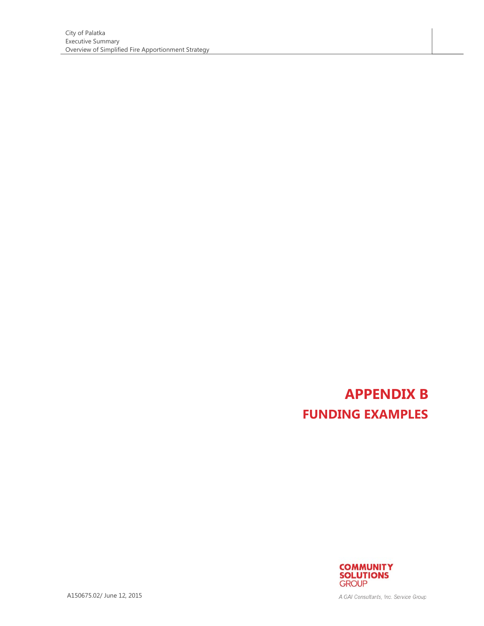# **APPENDIX B FUNDING EXAMPLES**



A150675.02/ June 12, 2015

A GAI Consultants, Inc. Service Group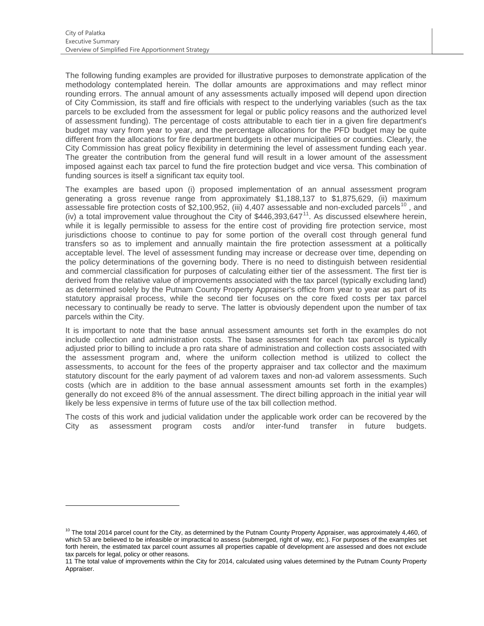The following funding examples are provided for illustrative purposes to demonstrate application of the methodology contemplated herein. The dollar amounts are approximations and may reflect minor rounding errors. The annual amount of any assessments actually imposed will depend upon direction of City Commission, its staff and fire officials with respect to the underlying variables (such as the tax parcels to be excluded from the assessment for legal or public policy reasons and the authorized level of assessment funding). The percentage of costs attributable to each tier in a given fire department's budget may vary from year to year, and the percentage allocations for the PFD budget may be quite different from the allocations for fire department budgets in other municipalities or counties. Clearly, the City Commission has great policy flexibility in determining the level of assessment funding each year. The greater the contribution from the general fund will result in a lower amount of the assessment imposed against each tax parcel to fund the fire protection budget and vice versa. This combination of funding sources is itself a significant tax equity tool.

The examples are based upon (i) proposed implementation of an annual assessment program generating a gross revenue range from approximately \$1,188,137 to \$1,875,629, (ii) maximum assessable fire protection costs of \$2,[10](#page-12-0)0,952, (iii) 4,407 assessable and non-excluded parcels<sup>10</sup>, and (iv) a total improvement value throughout the City of  $$446,393,647<sup>11</sup>$ . As discussed elsewhere herein, while it is legally permissible to assess for the entire cost of providing fire protection service, most jurisdictions choose to continue to pay for some portion of the overall cost through general fund transfers so as to implement and annually maintain the fire protection assessment at a politically acceptable level. The level of assessment funding may increase or decrease over time, depending on the policy determinations of the governing body. There is no need to distinguish between residential and commercial classification for purposes of calculating either tier of the assessment. The first tier is derived from the relative value of improvements associated with the tax parcel (typically excluding land) as determined solely by the Putnam County Property Appraiser's office from year to year as part of its statutory appraisal process, while the second tier focuses on the core fixed costs per tax parcel necessary to continually be ready to serve. The latter is obviously dependent upon the number of tax parcels within the City.

It is important to note that the base annual assessment amounts set forth in the examples do not include collection and administration costs. The base assessment for each tax parcel is typically adjusted prior to billing to include a pro rata share of administration and collection costs associated with the assessment program and, where the uniform collection method is utilized to collect the assessments, to account for the fees of the property appraiser and tax collector and the maximum statutory discount for the early payment of ad valorem taxes and non-ad valorem assessments. Such costs (which are in addition to the base annual assessment amounts set forth in the examples) generally do not exceed 8% of the annual assessment. The direct billing approach in the initial year will likely be less expensive in terms of future use of the tax bill collection method.

The costs of this work and judicial validation under the applicable work order can be recovered by the City as assessment program costs and/or inter-fund transfer in future budgets.

 $10$  The total 2014 parcel count for the City, as determined by the Putnam County Property Appraiser, was approximately 4,460, of which 53 are believed to be infeasible or impractical to assess (submerged, right of way, etc.). For purposes of the examples set forth herein, the estimated tax parcel count assumes all properties capable of development are assessed and does not exclude tax parcels for legal, policy or other reasons.

<span id="page-17-1"></span><span id="page-17-0"></span><sup>11</sup> The total value of improvements within the City for 2014, calculated using values determined by the Putnam County Property Appraiser.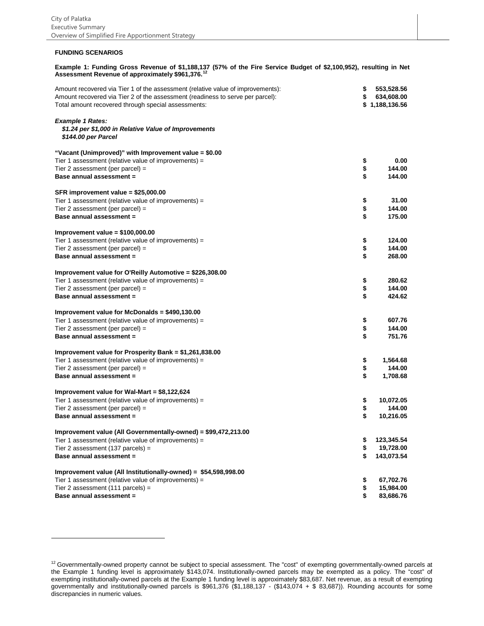#### **FUNDING SCENARIOS**

# **Example 1: Funding Gross Revenue of \$1,188,137 (57% of the Fire Service Budget of \$2,100,952), resulting in Net Assessment Revenue of approximately \$961,376.[12](#page-17-1)**

| \$<br>Total amount recovered through special assessments:<br>\$1,188,136.56<br><b>Example 1 Rates:</b><br>\$1.24 per \$1,000 in Relative Value of Improvements<br>\$144.00 per Parcel<br>"Vacant (Unimproved)" with Improvement value = \$0.00<br>Tier 1 assessment (relative value of improvements) =<br>\$<br>0.00<br>\$<br>Tier 2 assessment (per parcel) =<br>144.00<br>\$<br>Base annual assessment =<br>144.00<br>SFR improvement value = \$25,000.00<br>31.00<br>Tier 1 assessment (relative value of improvements) =<br>\$<br>\$<br>Tier 2 assessment (per parcel) =<br>144.00<br>Base annual assessment =<br>175.00<br>Improvement value = $$100,000.00$<br>Tier 1 assessment (relative value of improvements) =<br>\$<br>124.00<br>\$<br>144.00<br>Tier 2 assessment (per parcel) =<br>\$<br>Base annual assessment =<br>268.00<br>Improvement value for O'Reilly Automotive = \$226,308.00<br>Tier 1 assessment (relative value of improvements) =<br>280.62<br>\$<br>\$<br>144.00<br>Tier 2 assessment (per parcel) =<br>424.62<br>Base annual assessment =<br>Improvement value for McDonalds = \$490,130.00<br>\$<br>607.76<br>Tier 1 assessment (relative value of improvements) =<br>\$<br>144.00<br>Tier 2 assessment (per parcel) =<br>Base annual assessment =<br>751.76<br>Improvement value for Prosperity Bank = \$1,261,838.00<br>Tier 1 assessment (relative value of improvements) =<br>1,564.68<br>\$<br>\$<br>Tier 2 assessment (per parcel) =<br>144.00<br>\$<br>Base annual assessment =<br>1,708.68<br>Improvement value for Wal-Mart = \$8,122,624<br>Tier 1 assessment (relative value of improvements) =<br>\$<br>10,072.05<br>Tier 2 assessment (per parcel) =<br>\$<br>144.00<br>Base annual assessment =<br>10,216.05<br>Improvement value (All Governmentally-owned) = \$99,472,213.00<br>Tier 1 assessment (relative value of improvements) =<br>123,345.54<br>19,728.00<br>Tier 2 assessment (137 parcels) =<br>\$<br>Base annual assessment =<br>143,073.54<br>\$<br>Improvement value (All Institutionally-owned) = \$54,598,998.00<br>Tier 1 assessment (relative value of improvements) =<br>67,702.76<br>\$<br>15,984.00<br>Tier 2 assessment $(111$ parcels) =<br>Base annual assessment =<br>83,686.76 | Amount recovered via Tier 1 of the assessment (relative value of improvements): | \$<br>553,528.56 |
|------------------------------------------------------------------------------------------------------------------------------------------------------------------------------------------------------------------------------------------------------------------------------------------------------------------------------------------------------------------------------------------------------------------------------------------------------------------------------------------------------------------------------------------------------------------------------------------------------------------------------------------------------------------------------------------------------------------------------------------------------------------------------------------------------------------------------------------------------------------------------------------------------------------------------------------------------------------------------------------------------------------------------------------------------------------------------------------------------------------------------------------------------------------------------------------------------------------------------------------------------------------------------------------------------------------------------------------------------------------------------------------------------------------------------------------------------------------------------------------------------------------------------------------------------------------------------------------------------------------------------------------------------------------------------------------------------------------------------------------------------------------------------------------------------------------------------------------------------------------------------------------------------------------------------------------------------------------------------------------------------------------------------------------------------------------------------------------------------------------------------------------------------------------------------------------------------------------------------------------------------|---------------------------------------------------------------------------------|------------------|
|                                                                                                                                                                                                                                                                                                                                                                                                                                                                                                                                                                                                                                                                                                                                                                                                                                                                                                                                                                                                                                                                                                                                                                                                                                                                                                                                                                                                                                                                                                                                                                                                                                                                                                                                                                                                                                                                                                                                                                                                                                                                                                                                                                                                                                                      | Amount recovered via Tier 2 of the assessment (readiness to serve per parcel):  | 634,608.00       |
|                                                                                                                                                                                                                                                                                                                                                                                                                                                                                                                                                                                                                                                                                                                                                                                                                                                                                                                                                                                                                                                                                                                                                                                                                                                                                                                                                                                                                                                                                                                                                                                                                                                                                                                                                                                                                                                                                                                                                                                                                                                                                                                                                                                                                                                      |                                                                                 |                  |
|                                                                                                                                                                                                                                                                                                                                                                                                                                                                                                                                                                                                                                                                                                                                                                                                                                                                                                                                                                                                                                                                                                                                                                                                                                                                                                                                                                                                                                                                                                                                                                                                                                                                                                                                                                                                                                                                                                                                                                                                                                                                                                                                                                                                                                                      |                                                                                 |                  |
|                                                                                                                                                                                                                                                                                                                                                                                                                                                                                                                                                                                                                                                                                                                                                                                                                                                                                                                                                                                                                                                                                                                                                                                                                                                                                                                                                                                                                                                                                                                                                                                                                                                                                                                                                                                                                                                                                                                                                                                                                                                                                                                                                                                                                                                      |                                                                                 |                  |
|                                                                                                                                                                                                                                                                                                                                                                                                                                                                                                                                                                                                                                                                                                                                                                                                                                                                                                                                                                                                                                                                                                                                                                                                                                                                                                                                                                                                                                                                                                                                                                                                                                                                                                                                                                                                                                                                                                                                                                                                                                                                                                                                                                                                                                                      |                                                                                 |                  |
|                                                                                                                                                                                                                                                                                                                                                                                                                                                                                                                                                                                                                                                                                                                                                                                                                                                                                                                                                                                                                                                                                                                                                                                                                                                                                                                                                                                                                                                                                                                                                                                                                                                                                                                                                                                                                                                                                                                                                                                                                                                                                                                                                                                                                                                      |                                                                                 |                  |
|                                                                                                                                                                                                                                                                                                                                                                                                                                                                                                                                                                                                                                                                                                                                                                                                                                                                                                                                                                                                                                                                                                                                                                                                                                                                                                                                                                                                                                                                                                                                                                                                                                                                                                                                                                                                                                                                                                                                                                                                                                                                                                                                                                                                                                                      |                                                                                 |                  |
|                                                                                                                                                                                                                                                                                                                                                                                                                                                                                                                                                                                                                                                                                                                                                                                                                                                                                                                                                                                                                                                                                                                                                                                                                                                                                                                                                                                                                                                                                                                                                                                                                                                                                                                                                                                                                                                                                                                                                                                                                                                                                                                                                                                                                                                      |                                                                                 |                  |
|                                                                                                                                                                                                                                                                                                                                                                                                                                                                                                                                                                                                                                                                                                                                                                                                                                                                                                                                                                                                                                                                                                                                                                                                                                                                                                                                                                                                                                                                                                                                                                                                                                                                                                                                                                                                                                                                                                                                                                                                                                                                                                                                                                                                                                                      |                                                                                 |                  |
|                                                                                                                                                                                                                                                                                                                                                                                                                                                                                                                                                                                                                                                                                                                                                                                                                                                                                                                                                                                                                                                                                                                                                                                                                                                                                                                                                                                                                                                                                                                                                                                                                                                                                                                                                                                                                                                                                                                                                                                                                                                                                                                                                                                                                                                      |                                                                                 |                  |
|                                                                                                                                                                                                                                                                                                                                                                                                                                                                                                                                                                                                                                                                                                                                                                                                                                                                                                                                                                                                                                                                                                                                                                                                                                                                                                                                                                                                                                                                                                                                                                                                                                                                                                                                                                                                                                                                                                                                                                                                                                                                                                                                                                                                                                                      |                                                                                 |                  |
|                                                                                                                                                                                                                                                                                                                                                                                                                                                                                                                                                                                                                                                                                                                                                                                                                                                                                                                                                                                                                                                                                                                                                                                                                                                                                                                                                                                                                                                                                                                                                                                                                                                                                                                                                                                                                                                                                                                                                                                                                                                                                                                                                                                                                                                      |                                                                                 |                  |
|                                                                                                                                                                                                                                                                                                                                                                                                                                                                                                                                                                                                                                                                                                                                                                                                                                                                                                                                                                                                                                                                                                                                                                                                                                                                                                                                                                                                                                                                                                                                                                                                                                                                                                                                                                                                                                                                                                                                                                                                                                                                                                                                                                                                                                                      |                                                                                 |                  |
|                                                                                                                                                                                                                                                                                                                                                                                                                                                                                                                                                                                                                                                                                                                                                                                                                                                                                                                                                                                                                                                                                                                                                                                                                                                                                                                                                                                                                                                                                                                                                                                                                                                                                                                                                                                                                                                                                                                                                                                                                                                                                                                                                                                                                                                      |                                                                                 |                  |
|                                                                                                                                                                                                                                                                                                                                                                                                                                                                                                                                                                                                                                                                                                                                                                                                                                                                                                                                                                                                                                                                                                                                                                                                                                                                                                                                                                                                                                                                                                                                                                                                                                                                                                                                                                                                                                                                                                                                                                                                                                                                                                                                                                                                                                                      |                                                                                 |                  |
|                                                                                                                                                                                                                                                                                                                                                                                                                                                                                                                                                                                                                                                                                                                                                                                                                                                                                                                                                                                                                                                                                                                                                                                                                                                                                                                                                                                                                                                                                                                                                                                                                                                                                                                                                                                                                                                                                                                                                                                                                                                                                                                                                                                                                                                      |                                                                                 |                  |
|                                                                                                                                                                                                                                                                                                                                                                                                                                                                                                                                                                                                                                                                                                                                                                                                                                                                                                                                                                                                                                                                                                                                                                                                                                                                                                                                                                                                                                                                                                                                                                                                                                                                                                                                                                                                                                                                                                                                                                                                                                                                                                                                                                                                                                                      |                                                                                 |                  |
|                                                                                                                                                                                                                                                                                                                                                                                                                                                                                                                                                                                                                                                                                                                                                                                                                                                                                                                                                                                                                                                                                                                                                                                                                                                                                                                                                                                                                                                                                                                                                                                                                                                                                                                                                                                                                                                                                                                                                                                                                                                                                                                                                                                                                                                      |                                                                                 |                  |
|                                                                                                                                                                                                                                                                                                                                                                                                                                                                                                                                                                                                                                                                                                                                                                                                                                                                                                                                                                                                                                                                                                                                                                                                                                                                                                                                                                                                                                                                                                                                                                                                                                                                                                                                                                                                                                                                                                                                                                                                                                                                                                                                                                                                                                                      |                                                                                 |                  |
|                                                                                                                                                                                                                                                                                                                                                                                                                                                                                                                                                                                                                                                                                                                                                                                                                                                                                                                                                                                                                                                                                                                                                                                                                                                                                                                                                                                                                                                                                                                                                                                                                                                                                                                                                                                                                                                                                                                                                                                                                                                                                                                                                                                                                                                      |                                                                                 |                  |
|                                                                                                                                                                                                                                                                                                                                                                                                                                                                                                                                                                                                                                                                                                                                                                                                                                                                                                                                                                                                                                                                                                                                                                                                                                                                                                                                                                                                                                                                                                                                                                                                                                                                                                                                                                                                                                                                                                                                                                                                                                                                                                                                                                                                                                                      |                                                                                 |                  |
|                                                                                                                                                                                                                                                                                                                                                                                                                                                                                                                                                                                                                                                                                                                                                                                                                                                                                                                                                                                                                                                                                                                                                                                                                                                                                                                                                                                                                                                                                                                                                                                                                                                                                                                                                                                                                                                                                                                                                                                                                                                                                                                                                                                                                                                      |                                                                                 |                  |
|                                                                                                                                                                                                                                                                                                                                                                                                                                                                                                                                                                                                                                                                                                                                                                                                                                                                                                                                                                                                                                                                                                                                                                                                                                                                                                                                                                                                                                                                                                                                                                                                                                                                                                                                                                                                                                                                                                                                                                                                                                                                                                                                                                                                                                                      |                                                                                 |                  |
|                                                                                                                                                                                                                                                                                                                                                                                                                                                                                                                                                                                                                                                                                                                                                                                                                                                                                                                                                                                                                                                                                                                                                                                                                                                                                                                                                                                                                                                                                                                                                                                                                                                                                                                                                                                                                                                                                                                                                                                                                                                                                                                                                                                                                                                      |                                                                                 |                  |
|                                                                                                                                                                                                                                                                                                                                                                                                                                                                                                                                                                                                                                                                                                                                                                                                                                                                                                                                                                                                                                                                                                                                                                                                                                                                                                                                                                                                                                                                                                                                                                                                                                                                                                                                                                                                                                                                                                                                                                                                                                                                                                                                                                                                                                                      |                                                                                 |                  |
|                                                                                                                                                                                                                                                                                                                                                                                                                                                                                                                                                                                                                                                                                                                                                                                                                                                                                                                                                                                                                                                                                                                                                                                                                                                                                                                                                                                                                                                                                                                                                                                                                                                                                                                                                                                                                                                                                                                                                                                                                                                                                                                                                                                                                                                      |                                                                                 |                  |
|                                                                                                                                                                                                                                                                                                                                                                                                                                                                                                                                                                                                                                                                                                                                                                                                                                                                                                                                                                                                                                                                                                                                                                                                                                                                                                                                                                                                                                                                                                                                                                                                                                                                                                                                                                                                                                                                                                                                                                                                                                                                                                                                                                                                                                                      |                                                                                 |                  |
|                                                                                                                                                                                                                                                                                                                                                                                                                                                                                                                                                                                                                                                                                                                                                                                                                                                                                                                                                                                                                                                                                                                                                                                                                                                                                                                                                                                                                                                                                                                                                                                                                                                                                                                                                                                                                                                                                                                                                                                                                                                                                                                                                                                                                                                      |                                                                                 |                  |
|                                                                                                                                                                                                                                                                                                                                                                                                                                                                                                                                                                                                                                                                                                                                                                                                                                                                                                                                                                                                                                                                                                                                                                                                                                                                                                                                                                                                                                                                                                                                                                                                                                                                                                                                                                                                                                                                                                                                                                                                                                                                                                                                                                                                                                                      |                                                                                 |                  |
|                                                                                                                                                                                                                                                                                                                                                                                                                                                                                                                                                                                                                                                                                                                                                                                                                                                                                                                                                                                                                                                                                                                                                                                                                                                                                                                                                                                                                                                                                                                                                                                                                                                                                                                                                                                                                                                                                                                                                                                                                                                                                                                                                                                                                                                      |                                                                                 |                  |
|                                                                                                                                                                                                                                                                                                                                                                                                                                                                                                                                                                                                                                                                                                                                                                                                                                                                                                                                                                                                                                                                                                                                                                                                                                                                                                                                                                                                                                                                                                                                                                                                                                                                                                                                                                                                                                                                                                                                                                                                                                                                                                                                                                                                                                                      |                                                                                 |                  |
|                                                                                                                                                                                                                                                                                                                                                                                                                                                                                                                                                                                                                                                                                                                                                                                                                                                                                                                                                                                                                                                                                                                                                                                                                                                                                                                                                                                                                                                                                                                                                                                                                                                                                                                                                                                                                                                                                                                                                                                                                                                                                                                                                                                                                                                      |                                                                                 |                  |
|                                                                                                                                                                                                                                                                                                                                                                                                                                                                                                                                                                                                                                                                                                                                                                                                                                                                                                                                                                                                                                                                                                                                                                                                                                                                                                                                                                                                                                                                                                                                                                                                                                                                                                                                                                                                                                                                                                                                                                                                                                                                                                                                                                                                                                                      |                                                                                 |                  |
|                                                                                                                                                                                                                                                                                                                                                                                                                                                                                                                                                                                                                                                                                                                                                                                                                                                                                                                                                                                                                                                                                                                                                                                                                                                                                                                                                                                                                                                                                                                                                                                                                                                                                                                                                                                                                                                                                                                                                                                                                                                                                                                                                                                                                                                      |                                                                                 |                  |
|                                                                                                                                                                                                                                                                                                                                                                                                                                                                                                                                                                                                                                                                                                                                                                                                                                                                                                                                                                                                                                                                                                                                                                                                                                                                                                                                                                                                                                                                                                                                                                                                                                                                                                                                                                                                                                                                                                                                                                                                                                                                                                                                                                                                                                                      |                                                                                 |                  |
|                                                                                                                                                                                                                                                                                                                                                                                                                                                                                                                                                                                                                                                                                                                                                                                                                                                                                                                                                                                                                                                                                                                                                                                                                                                                                                                                                                                                                                                                                                                                                                                                                                                                                                                                                                                                                                                                                                                                                                                                                                                                                                                                                                                                                                                      |                                                                                 |                  |
|                                                                                                                                                                                                                                                                                                                                                                                                                                                                                                                                                                                                                                                                                                                                                                                                                                                                                                                                                                                                                                                                                                                                                                                                                                                                                                                                                                                                                                                                                                                                                                                                                                                                                                                                                                                                                                                                                                                                                                                                                                                                                                                                                                                                                                                      |                                                                                 |                  |
|                                                                                                                                                                                                                                                                                                                                                                                                                                                                                                                                                                                                                                                                                                                                                                                                                                                                                                                                                                                                                                                                                                                                                                                                                                                                                                                                                                                                                                                                                                                                                                                                                                                                                                                                                                                                                                                                                                                                                                                                                                                                                                                                                                                                                                                      |                                                                                 |                  |
|                                                                                                                                                                                                                                                                                                                                                                                                                                                                                                                                                                                                                                                                                                                                                                                                                                                                                                                                                                                                                                                                                                                                                                                                                                                                                                                                                                                                                                                                                                                                                                                                                                                                                                                                                                                                                                                                                                                                                                                                                                                                                                                                                                                                                                                      |                                                                                 |                  |
|                                                                                                                                                                                                                                                                                                                                                                                                                                                                                                                                                                                                                                                                                                                                                                                                                                                                                                                                                                                                                                                                                                                                                                                                                                                                                                                                                                                                                                                                                                                                                                                                                                                                                                                                                                                                                                                                                                                                                                                                                                                                                                                                                                                                                                                      |                                                                                 |                  |
|                                                                                                                                                                                                                                                                                                                                                                                                                                                                                                                                                                                                                                                                                                                                                                                                                                                                                                                                                                                                                                                                                                                                                                                                                                                                                                                                                                                                                                                                                                                                                                                                                                                                                                                                                                                                                                                                                                                                                                                                                                                                                                                                                                                                                                                      |                                                                                 |                  |

<span id="page-18-0"></span><sup>&</sup>lt;sup>12</sup> Governmentally-owned property cannot be subject to special assessment. The "cost" of exempting governmentally-owned parcels at the Example 1 funding level is approximately \$143,074. Institutionally-owned parcels may be exempted as a policy. The "cost" of exempting institutionally-owned parcels at the Example 1 funding level is approximately \$83,687. Net revenue, as a result of exempting governmentally and institutionally-owned parcels is \$961,376 (\$1,188,137 - (\$143,074 + \$ 83,687)). Rounding accounts for some discrepancies in numeric values.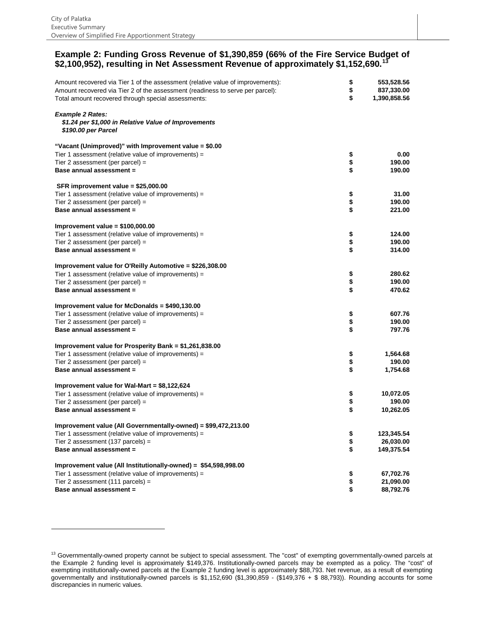-

#### **Example 2: Funding Gross Revenue of \$1,390,859 (66% of the Fire Service Budget of \$2,100,952), resulting in Net Assessment Revenue of approximately \$1,152,690.[13](#page-18-0)**

| Amount recovered via Tier 1 of the assessment (relative value of improvements):<br>Amount recovered via Tier 2 of the assessment (readiness to serve per parcel):<br>Total amount recovered through special assessments: | \$<br>\$<br>\$ | 553,528.56<br>837,330.00<br>1,390,858.56 |
|--------------------------------------------------------------------------------------------------------------------------------------------------------------------------------------------------------------------------|----------------|------------------------------------------|
| <b>Example 2 Rates:</b><br>\$1.24 per \$1,000 in Relative Value of Improvements<br><i><b>\$190.00 per Parcel</b></i>                                                                                                     |                |                                          |
| "Vacant (Unimproved)" with Improvement value = \$0.00                                                                                                                                                                    |                |                                          |
| Tier 1 assessment (relative value of improvements) =                                                                                                                                                                     | \$             | 0.00                                     |
| Tier 2 assessment (per parcel) =                                                                                                                                                                                         | \$             | 190.00                                   |
| Base annual assessment =                                                                                                                                                                                                 | \$             | 190.00                                   |
| SFR improvement value = \$25,000.00                                                                                                                                                                                      |                |                                          |
| Tier 1 assessment (relative value of improvements) =                                                                                                                                                                     | \$             | 31.00                                    |
| Tier 2 assessment (per parcel) =                                                                                                                                                                                         | \$             | 190.00                                   |
| Base annual assessment =                                                                                                                                                                                                 | \$             | 221.00                                   |
| Improvement value = $$100,000.00$                                                                                                                                                                                        |                |                                          |
| Tier 1 assessment (relative value of improvements) =                                                                                                                                                                     | \$             | 124.00                                   |
| Tier 2 assessment (per parcel) =                                                                                                                                                                                         | \$             | 190.00                                   |
| Base annual assessment =                                                                                                                                                                                                 | \$             | 314.00                                   |
| Improvement value for O'Reilly Automotive = \$226,308.00                                                                                                                                                                 |                |                                          |
| Tier 1 assessment (relative value of improvements) =                                                                                                                                                                     | \$             | 280.62                                   |
| Tier 2 assessment (per parcel) =                                                                                                                                                                                         | \$             | 190.00                                   |
| Base annual assessment =                                                                                                                                                                                                 | \$             | 470.62                                   |
| Improvement value for McDonalds = \$490,130.00                                                                                                                                                                           |                |                                          |
| Tier 1 assessment (relative value of improvements) =                                                                                                                                                                     | \$             | 607.76                                   |
| Tier 2 assessment (per parcel) =                                                                                                                                                                                         | \$             | 190.00                                   |
| Base annual assessment =                                                                                                                                                                                                 | \$             | 797.76                                   |
| Improvement value for Prosperity Bank = \$1,261,838.00                                                                                                                                                                   |                |                                          |
| Tier 1 assessment (relative value of improvements) =                                                                                                                                                                     | \$             | 1,564.68                                 |
| Tier 2 assessment (per parcel) =                                                                                                                                                                                         | \$             | 190.00                                   |
| Base annual assessment =                                                                                                                                                                                                 | \$             | 1,754.68                                 |
| Improvement value for Wal-Mart = $$8,122,624$                                                                                                                                                                            |                |                                          |
| Tier 1 assessment (relative value of improvements) =                                                                                                                                                                     | \$             | 10,072.05                                |
| Tier 2 assessment (per parcel) =                                                                                                                                                                                         | \$             | 190.00                                   |
| Base annual assessment =                                                                                                                                                                                                 | \$             | 10,262.05                                |
| Improvement value (All Governmentally-owned) = \$99,472,213.00                                                                                                                                                           |                |                                          |
| Tier 1 assessment (relative value of improvements) =                                                                                                                                                                     | \$             | 123,345.54                               |
| Tier 2 assessment (137 parcels) =                                                                                                                                                                                        | \$             | 26,030.00                                |
| Base annual assessment =                                                                                                                                                                                                 | \$             | 149,375.54                               |
| Improvement value (All Institutionally-owned) = \$54,598,998.00                                                                                                                                                          |                |                                          |
| Tier 1 assessment (relative value of improvements) =                                                                                                                                                                     | \$             | 67,702.76                                |
| Tier 2 assessment (111 parcels) =                                                                                                                                                                                        | \$             | 21,090.00                                |
| Base annual assessment =                                                                                                                                                                                                 | \$             | 88,792.76                                |

<span id="page-19-0"></span><sup>&</sup>lt;sup>13</sup> Governmentally-owned property cannot be subject to special assessment. The "cost" of exempting governmentally-owned parcels at the Example 2 funding level is approximately \$149,376. Institutionally-owned parcels may be exempted as a policy. The "cost" of exempting institutionally-owned parcels at the Example 2 funding level is approximately \$88,793. Net revenue, as a result of exempting governmentally and institutionally-owned parcels is \$1,152,690 (\$1,390,859 - (\$149,376 + \$ 88,793)). Rounding accounts for some discrepancies in numeric values.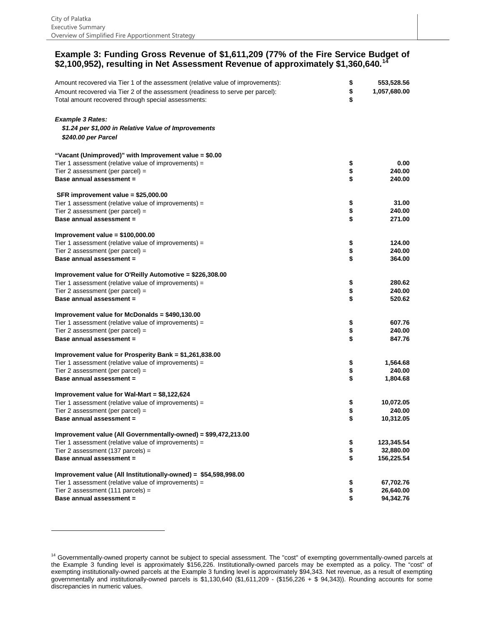1

#### **Example 3: Funding Gross Revenue of \$1,611,209 (77% of the Fire Service Budget of \$2,100,952), resulting in Net Assessment Revenue of approximately \$1,360,640.[14](#page-19-0)**

| Amount recovered via Tier 1 of the assessment (relative value of improvements):           | \$       | 553,528.56   |
|-------------------------------------------------------------------------------------------|----------|--------------|
| Amount recovered via Tier 2 of the assessment (readiness to serve per parcel):            | \$       | 1,057,680.00 |
| Total amount recovered through special assessments:                                       | \$       |              |
|                                                                                           |          |              |
| <b>Example 3 Rates:</b>                                                                   |          |              |
| \$1.24 per \$1,000 in Relative Value of Improvements                                      |          |              |
| <i><b>\$240.00 per Parcel</b></i>                                                         |          |              |
|                                                                                           |          |              |
| "Vacant (Unimproved)" with Improvement value = \$0.00                                     |          |              |
| Tier 1 assessment (relative value of improvements) =                                      | \$       | 0.00         |
| Tier 2 assessment (per parcel) =                                                          | \$       | 240.00       |
| Base annual assessment =                                                                  | \$       | 240.00       |
| SFR improvement value = \$25,000.00                                                       |          |              |
| Tier 1 assessment (relative value of improvements) =                                      | \$       | 31.00        |
| Tier 2 assessment (per parcel) =                                                          | \$       | 240.00       |
| Base annual assessment =                                                                  | \$       | 271.00       |
|                                                                                           |          |              |
| Improvement value = $$100,000.00$<br>Tier 1 assessment (relative value of improvements) = | \$       | 124.00       |
| Tier 2 assessment (per parcel) =                                                          | \$       | 240.00       |
| Base annual assessment =                                                                  | \$       | 364.00       |
|                                                                                           |          |              |
| Improvement value for O'Reilly Automotive = \$226,308.00                                  |          |              |
| Tier 1 assessment (relative value of improvements) =                                      | \$       | 280.62       |
| Tier 2 assessment (per parcel) =                                                          | \$       | 240.00       |
| Base annual assessment =                                                                  | \$       | 520.62       |
| Improvement value for McDonalds = \$490,130.00                                            |          |              |
| Tier 1 assessment (relative value of improvements) =                                      | \$       | 607.76       |
| Tier 2 assessment (per parcel) =                                                          | \$       | 240.00       |
| Base annual assessment =                                                                  | \$       | 847.76       |
| Improvement value for Prosperity Bank = \$1,261,838.00                                    |          |              |
| Tier 1 assessment (relative value of improvements) =                                      | \$       | 1,564.68     |
| Tier 2 assessment (per parcel) =                                                          | \$       | 240.00       |
| Base annual assessment =                                                                  | \$       | 1,804.68     |
| Improvement value for Wal-Mart = \$8,122,624                                              |          |              |
| Tier 1 assessment (relative value of improvements) =                                      | \$       | 10,072.05    |
| Tier 2 assessment (per parcel) =                                                          | \$       | 240.00       |
| Base annual assessment =                                                                  | \$       | 10,312.05    |
|                                                                                           |          |              |
| Improvement value (All Governmentally-owned) = \$99,472,213.00                            |          | 123,345.54   |
| Tier 1 assessment (relative value of improvements) =                                      | \$       | 32,880.00    |
| Tier 2 assessment (137 parcels) =<br>Base annual assessment =                             | \$<br>\$ | 156,225.54   |
|                                                                                           |          |              |
| Improvement value (All Institutionally-owned) = \$54,598,998.00                           |          |              |
| Tier 1 assessment (relative value of improvements) =                                      | \$       | 67,702.76    |
| Tier 2 assessment (111 parcels) =                                                         | \$       | 26,640.00    |
| Base annual assessment =                                                                  | \$       | 94,342.76    |

<span id="page-20-0"></span><sup>&</sup>lt;sup>14</sup> Governmentally-owned property cannot be subject to special assessment. The "cost" of exempting governmentally-owned parcels at the Example 3 funding level is approximately \$156,226. Institutionally-owned parcels may be exempted as a policy. The "cost" of exempting institutionally-owned parcels at the Example 3 funding level is approximately \$94,343. Net revenue, as a result of exempting governmentally and institutionally-owned parcels is \$1,130,640 (\$1,611,209 - (\$156,226 + \$ 94,343)). Rounding accounts for some discrepancies in numeric values.